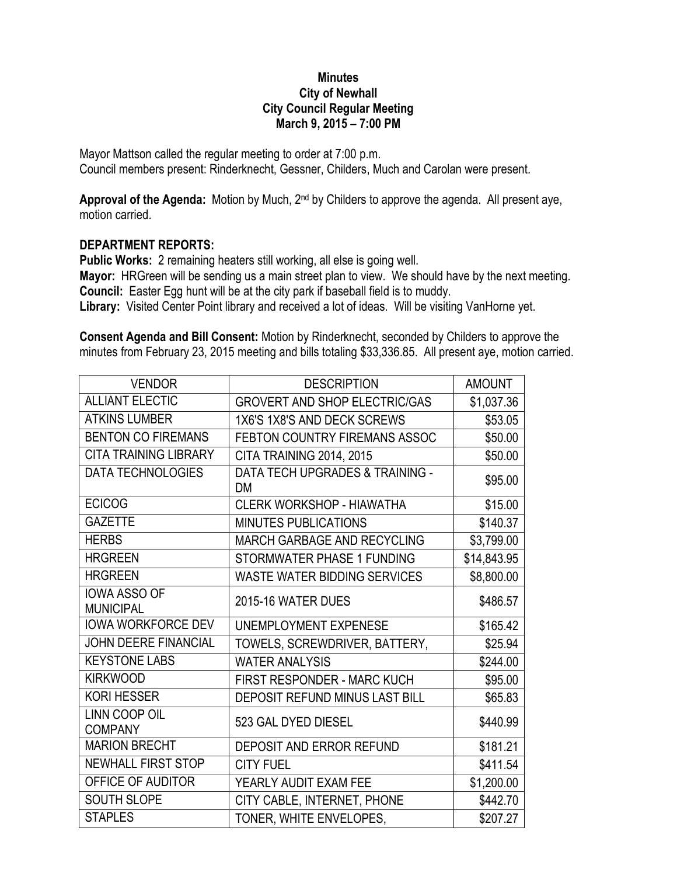## **Minutes City of Newhall City Council Regular Meeting March 9, 2015 – 7:00 PM**

Mayor Mattson called the regular meeting to order at 7:00 p.m. Council members present: Rinderknecht, Gessner, Childers, Much and Carolan were present.

**Approval of the Agenda:** Motion by Much, 2nd by Childers to approve the agenda. All present aye, motion carried.

## **DEPARTMENT REPORTS:**

**Public Works:** 2 remaining heaters still working, all else is going well.

**Mayor:** HRGreen will be sending us a main street plan to view. We should have by the next meeting. **Council:** Easter Egg hunt will be at the city park if baseball field is to muddy.

**Library:** Visited Center Point library and received a lot of ideas. Will be visiting VanHorne yet.

**Consent Agenda and Bill Consent:** Motion by Rinderknecht, seconded by Childers to approve the minutes from February 23, 2015 meeting and bills totaling \$33,336.85. All present aye, motion carried.

| <b>VENDOR</b>                           | <b>DESCRIPTION</b>                               | <b>AMOUNT</b> |
|-----------------------------------------|--------------------------------------------------|---------------|
| <b>ALLIANT ELECTIC</b>                  | <b>GROVERT AND SHOP ELECTRIC/GAS</b>             | \$1,037.36    |
| <b>ATKINS LUMBER</b>                    | 1X6'S 1X8'S AND DECK SCREWS                      | \$53.05       |
| <b>BENTON CO FIREMANS</b>               | FEBTON COUNTRY FIREMANS ASSOC                    | \$50.00       |
| <b>CITA TRAINING LIBRARY</b>            | CITA TRAINING 2014, 2015                         | \$50.00       |
| <b>DATA TECHNOLOGIES</b>                | <b>DATA TECH UPGRADES &amp; TRAINING -</b><br>DM | \$95.00       |
| <b>ECICOG</b>                           | <b>CLERK WORKSHOP - HIAWATHA</b>                 | \$15.00       |
| <b>GAZETTE</b>                          | <b>MINUTES PUBLICATIONS</b>                      | \$140.37      |
| <b>HERBS</b>                            | <b>MARCH GARBAGE AND RECYCLING</b>               | \$3,799.00    |
| <b>HRGREEN</b>                          | STORMWATER PHASE 1 FUNDING                       | \$14,843.95   |
| <b>HRGREEN</b>                          | <b>WASTE WATER BIDDING SERVICES</b>              | \$8,800.00    |
| <b>IOWA ASSO OF</b><br><b>MUNICIPAL</b> | 2015-16 WATER DUES                               | \$486.57      |
| <b>IOWA WORKFORCE DEV</b>               | UNEMPLOYMENT EXPENESE                            | \$165.42      |
| <b>JOHN DEERE FINANCIAL</b>             | TOWELS, SCREWDRIVER, BATTERY,                    | \$25.94       |
| <b>KEYSTONE LABS</b>                    | <b>WATER ANALYSIS</b>                            | \$244.00      |
| <b>KIRKWOOD</b>                         | <b>FIRST RESPONDER - MARC KUCH</b>               | \$95.00       |
| <b>KORI HESSER</b>                      | DEPOSIT REFUND MINUS LAST BILL                   | \$65.83       |
| <b>LINN COOP OIL</b><br><b>COMPANY</b>  | 523 GAL DYED DIESEL                              | \$440.99      |
| <b>MARION BRECHT</b>                    | <b>DEPOSIT AND ERROR REFUND</b>                  | \$181.21      |
| <b>NEWHALL FIRST STOP</b>               | <b>CITY FUEL</b>                                 | \$411.54      |
| OFFICE OF AUDITOR                       | YEARLY AUDIT EXAM FEE                            | \$1,200.00    |
| SOUTH SLOPE                             | CITY CABLE, INTERNET, PHONE                      | \$442.70      |
| <b>STAPLES</b>                          | TONER, WHITE ENVELOPES,                          | \$207.27      |